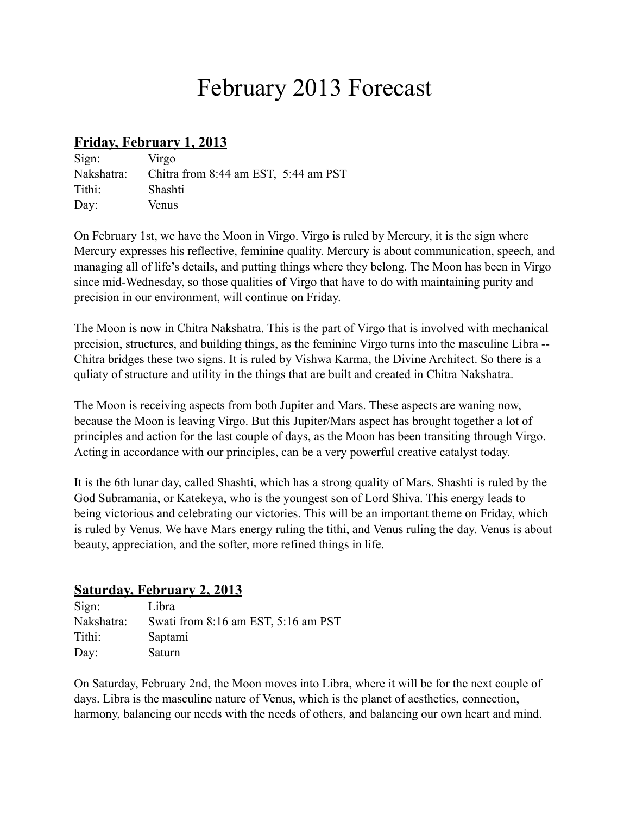# February 2013 Forecast

#### **Friday, February 1, 2013**

| Sign:      | Virgo                                    |  |
|------------|------------------------------------------|--|
| Nakshatra: | Chitra from $8:44$ am EST, $5:44$ am PST |  |
| Tithi:     | Shashti                                  |  |
| Day:       | Venus                                    |  |

On February 1st, we have the Moon in Virgo. Virgo is ruled by Mercury, it is the sign where Mercury expresses his reflective, feminine quality. Mercury is about communication, speech, and managing all of life's details, and putting things where they belong. The Moon has been in Virgo since mid-Wednesday, so those qualities of Virgo that have to do with maintaining purity and precision in our environment, will continue on Friday.

The Moon is now in Chitra Nakshatra. This is the part of Virgo that is involved with mechanical precision, structures, and building things, as the feminine Virgo turns into the masculine Libra -- Chitra bridges these two signs. It is ruled by Vishwa Karma, the Divine Architect. So there is a quliaty of structure and utility in the things that are built and created in Chitra Nakshatra.

The Moon is receiving aspects from both Jupiter and Mars. These aspects are waning now, because the Moon is leaving Virgo. But this Jupiter/Mars aspect has brought together a lot of principles and action for the last couple of days, as the Moon has been transiting through Virgo. Acting in accordance with our principles, can be a very powerful creative catalyst today.

It is the 6th lunar day, called Shashti, which has a strong quality of Mars. Shashti is ruled by the God Subramania, or Katekeya, who is the youngest son of Lord Shiva. This energy leads to being victorious and celebrating our victories. This will be an important theme on Friday, which is ruled by Venus. We have Mars energy ruling the tithi, and Venus ruling the day. Venus is about beauty, appreciation, and the softer, more refined things in life.

## **Saturday, February 2, 2013**

| Sign:      | Libra                               |
|------------|-------------------------------------|
| Nakshatra: | Swati from 8:16 am EST, 5:16 am PST |
| Tithi:     | Saptami                             |
| Day:       | Saturn                              |

On Saturday, February 2nd, the Moon moves into Libra, where it will be for the next couple of days. Libra is the masculine nature of Venus, which is the planet of aesthetics, connection, harmony, balancing our needs with the needs of others, and balancing our own heart and mind.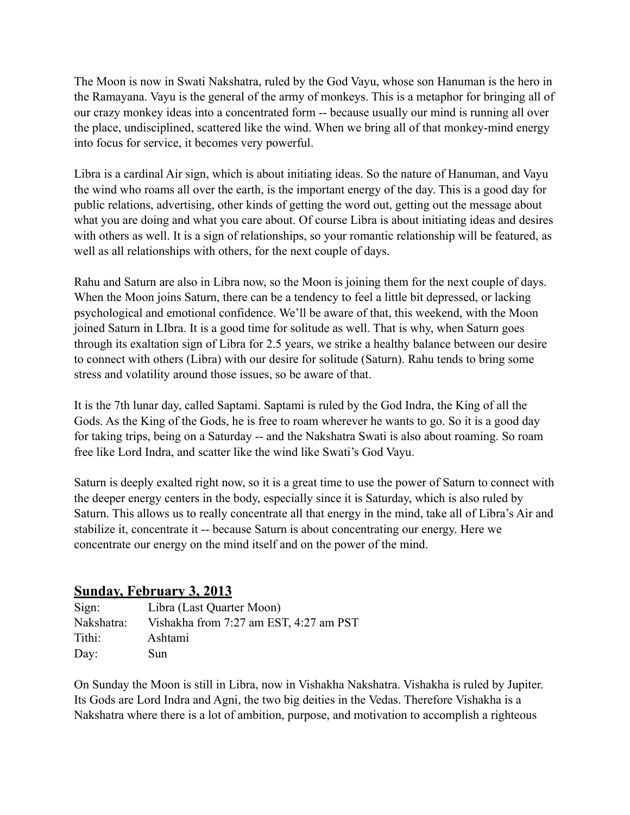The Moon is now in Swati Nakshatra, ruled by the God Vayu, whose son Hanuman is the hero in the Ramayana. Vayu is the general of the army of monkeys. This is a metaphor for bringing all of our crazy monkey ideas into a concentrated form -- because usually our mind is running all over the place, undisciplined, scattered like the wind. When we bring all of that monkey-mind energy into focus for service, it becomes very powerful.

Libra is a cardinal Air sign, which is about initiating ideas. So the nature of Hanuman, and Vayu the wind who roams all over the earth, is the important energy of the day. This is a good day for public relations, advertising, other kinds of getting the word out, getting out the message about what you are doing and what you care about. Of course Libra is about initiating ideas and desires with others as well. It is a sign of relationships, so your romantic relationship will be featured, as well as all relationships with others, for the next couple of days.

Rahu and Saturn are also in Libra now, so the Moon is joining them for the next couple of days. When the Moon joins Saturn, there can be a tendency to feel a little bit depressed, or lacking psychological and emotional confidence. We'll be aware of that, this weekend, with the Moon joined Saturn in LIbra. It is a good time for solitude as well. That is why, when Saturn goes through its exaltation sign of Libra for 2.5 years, we strike a healthy balance between our desire to connect with others (Libra) with our desire for solitude (Saturn). Rahu tends to bring some stress and volatility around those issues, so be aware of that.

It is the 7th lunar day, called Saptami. Saptami is ruled by the God Indra, the King of all the Gods. As the King of the Gods, he is free to roam wherever he wants to go. So it is a good day for taking trips, being on a Saturday -- and the Nakshatra Swati is also about roaming. So roam free like Lord Indra, and scatter like the wind like Swati's God Vayu.

Saturn is deeply exalted right now, so it is a great time to use the power of Saturn to connect with the deeper energy centers in the body, especially since it is Saturday, which is also ruled by Saturn. This allows us to really concentrate all that energy in the mind, take all of Libra's Air and stabilize it, concentrate it -- because Saturn is about concentrating our energy. Here we concentrate our energy on the mind itself and on the power of the mind.

## **Sunday, February 3, 2013**

| Sign:      | Libra (Last Quarter Moon)              |
|------------|----------------------------------------|
| Nakshatra: | Vishakha from 7:27 am EST, 4:27 am PST |
| Tithi:     | Ashtami                                |
| Day:       | Sun                                    |

On Sunday the Moon is still in Libra, now in Vishakha Nakshatra. Vishakha is ruled by Jupiter. Its Gods are Lord Indra and Agni, the two big deities in the Vedas. Therefore Vishakha is a Nakshatra where there is a lot of ambition, purpose, and motivation to accomplish a righteous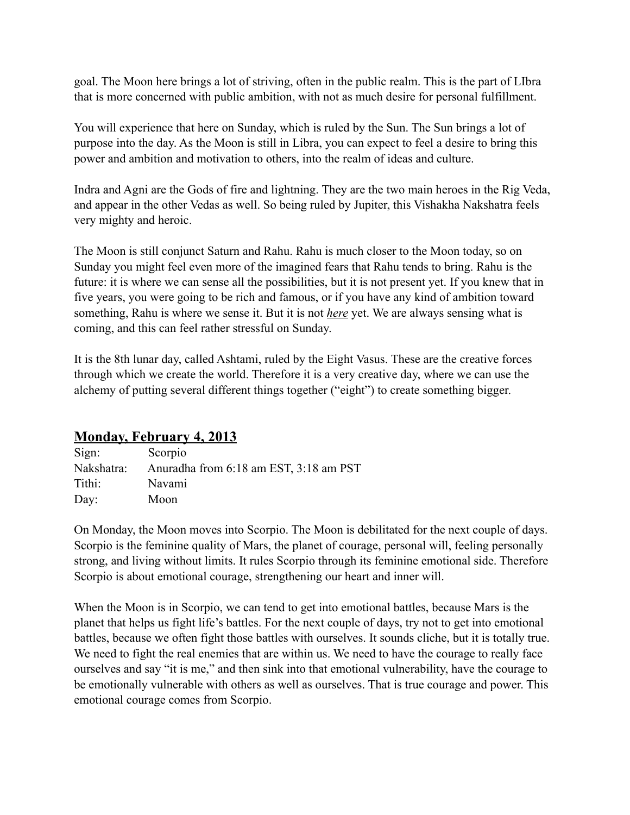goal. The Moon here brings a lot of striving, often in the public realm. This is the part of LIbra that is more concerned with public ambition, with not as much desire for personal fulfillment.

You will experience that here on Sunday, which is ruled by the Sun. The Sun brings a lot of purpose into the day. As the Moon is still in Libra, you can expect to feel a desire to bring this power and ambition and motivation to others, into the realm of ideas and culture.

Indra and Agni are the Gods of fire and lightning. They are the two main heroes in the Rig Veda, and appear in the other Vedas as well. So being ruled by Jupiter, this Vishakha Nakshatra feels very mighty and heroic.

The Moon is still conjunct Saturn and Rahu. Rahu is much closer to the Moon today, so on Sunday you might feel even more of the imagined fears that Rahu tends to bring. Rahu is the future: it is where we can sense all the possibilities, but it is not present yet. If you knew that in five years, you were going to be rich and famous, or if you have any kind of ambition toward something, Rahu is where we sense it. But it is not *here* yet. We are always sensing what is coming, and this can feel rather stressful on Sunday.

It is the 8th lunar day, called Ashtami, ruled by the Eight Vasus. These are the creative forces through which we create the world. Therefore it is a very creative day, where we can use the alchemy of putting several different things together ("eight") to create something bigger.

# **Monday, February 4, 2013**

| Sign:      | Scorpio                                |
|------------|----------------------------------------|
| Nakshatra: | Anuradha from 6:18 am EST, 3:18 am PST |
| Tithi:     | Navami                                 |
| Day:       | Moon                                   |

On Monday, the Moon moves into Scorpio. The Moon is debilitated for the next couple of days. Scorpio is the feminine quality of Mars, the planet of courage, personal will, feeling personally strong, and living without limits. It rules Scorpio through its feminine emotional side. Therefore Scorpio is about emotional courage, strengthening our heart and inner will.

When the Moon is in Scorpio, we can tend to get into emotional battles, because Mars is the planet that helps us fight life's battles. For the next couple of days, try not to get into emotional battles, because we often fight those battles with ourselves. It sounds cliche, but it is totally true. We need to fight the real enemies that are within us. We need to have the courage to really face ourselves and say "it is me," and then sink into that emotional vulnerability, have the courage to be emotionally vulnerable with others as well as ourselves. That is true courage and power. This emotional courage comes from Scorpio.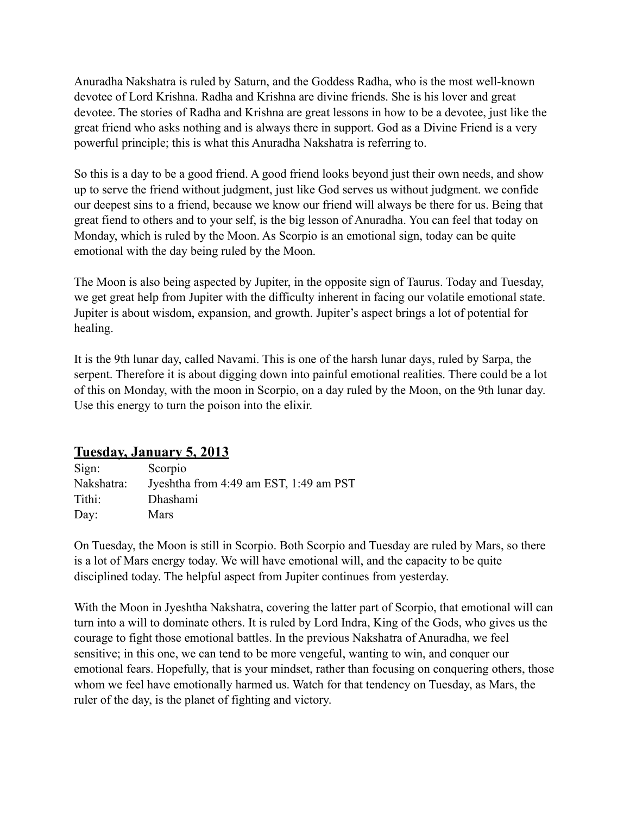Anuradha Nakshatra is ruled by Saturn, and the Goddess Radha, who is the most well-known devotee of Lord Krishna. Radha and Krishna are divine friends. She is his lover and great devotee. The stories of Radha and Krishna are great lessons in how to be a devotee, just like the great friend who asks nothing and is always there in support. God as a Divine Friend is a very powerful principle; this is what this Anuradha Nakshatra is referring to.

So this is a day to be a good friend. A good friend looks beyond just their own needs, and show up to serve the friend without judgment, just like God serves us without judgment. we confide our deepest sins to a friend, because we know our friend will always be there for us. Being that great fiend to others and to your self, is the big lesson of Anuradha. You can feel that today on Monday, which is ruled by the Moon. As Scorpio is an emotional sign, today can be quite emotional with the day being ruled by the Moon.

The Moon is also being aspected by Jupiter, in the opposite sign of Taurus. Today and Tuesday, we get great help from Jupiter with the difficulty inherent in facing our volatile emotional state. Jupiter is about wisdom, expansion, and growth. Jupiter's aspect brings a lot of potential for healing.

It is the 9th lunar day, called Navami. This is one of the harsh lunar days, ruled by Sarpa, the serpent. Therefore it is about digging down into painful emotional realities. There could be a lot of this on Monday, with the moon in Scorpio, on a day ruled by the Moon, on the 9th lunar day. Use this energy to turn the poison into the elixir.

## **Tuesday, January 5, 2013**

| Sign:      | Scorpio                                |
|------------|----------------------------------------|
| Nakshatra: | Jyeshtha from 4:49 am EST, 1:49 am PST |
| Tithi:     | Dhashami                               |
| Day:       | <b>Mars</b>                            |

On Tuesday, the Moon is still in Scorpio. Both Scorpio and Tuesday are ruled by Mars, so there is a lot of Mars energy today. We will have emotional will, and the capacity to be quite disciplined today. The helpful aspect from Jupiter continues from yesterday.

With the Moon in Jyeshtha Nakshatra, covering the latter part of Scorpio, that emotional will can turn into a will to dominate others. It is ruled by Lord Indra, King of the Gods, who gives us the courage to fight those emotional battles. In the previous Nakshatra of Anuradha, we feel sensitive; in this one, we can tend to be more vengeful, wanting to win, and conquer our emotional fears. Hopefully, that is your mindset, rather than focusing on conquering others, those whom we feel have emotionally harmed us. Watch for that tendency on Tuesday, as Mars, the ruler of the day, is the planet of fighting and victory.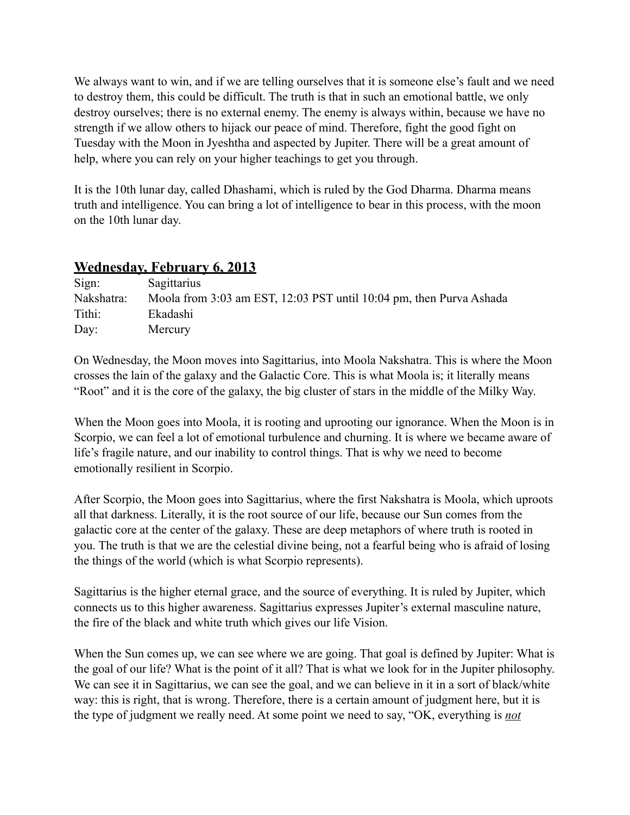We always want to win, and if we are telling ourselves that it is someone else's fault and we need to destroy them, this could be difficult. The truth is that in such an emotional battle, we only destroy ourselves; there is no external enemy. The enemy is always within, because we have no strength if we allow others to hijack our peace of mind. Therefore, fight the good fight on Tuesday with the Moon in Jyeshtha and aspected by Jupiter. There will be a great amount of help, where you can rely on your higher teachings to get you through.

It is the 10th lunar day, called Dhashami, which is ruled by the God Dharma. Dharma means truth and intelligence. You can bring a lot of intelligence to bear in this process, with the moon on the 10th lunar day.

# **Wednesday, February 6, 2013**

| Sign:      | Sagittarius                                                         |
|------------|---------------------------------------------------------------------|
| Nakshatra: | Moola from 3:03 am EST, 12:03 PST until 10:04 pm, then Purva Ashada |
| Tithi:     | Ekadashi                                                            |
| Day:       | Mercury                                                             |

On Wednesday, the Moon moves into Sagittarius, into Moola Nakshatra. This is where the Moon crosses the lain of the galaxy and the Galactic Core. This is what Moola is; it literally means "Root" and it is the core of the galaxy, the big cluster of stars in the middle of the Milky Way.

When the Moon goes into Moola, it is rooting and uprooting our ignorance. When the Moon is in Scorpio, we can feel a lot of emotional turbulence and churning. It is where we became aware of life's fragile nature, and our inability to control things. That is why we need to become emotionally resilient in Scorpio.

After Scorpio, the Moon goes into Sagittarius, where the first Nakshatra is Moola, which uproots all that darkness. Literally, it is the root source of our life, because our Sun comes from the galactic core at the center of the galaxy. These are deep metaphors of where truth is rooted in you. The truth is that we are the celestial divine being, not a fearful being who is afraid of losing the things of the world (which is what Scorpio represents).

Sagittarius is the higher eternal grace, and the source of everything. It is ruled by Jupiter, which connects us to this higher awareness. Sagittarius expresses Jupiter's external masculine nature, the fire of the black and white truth which gives our life Vision.

When the Sun comes up, we can see where we are going. That goal is defined by Jupiter: What is the goal of our life? What is the point of it all? That is what we look for in the Jupiter philosophy. We can see it in Sagittarius, we can see the goal, and we can believe in it in a sort of black/white way: this is right, that is wrong. Therefore, there is a certain amount of judgment here, but it is the type of judgment we really need. At some point we need to say, "OK, everything is *not*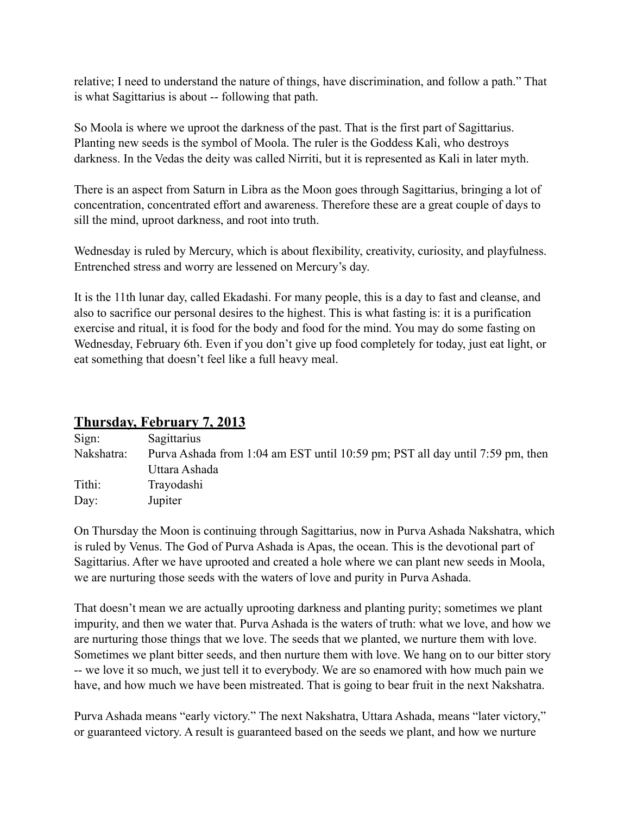relative; I need to understand the nature of things, have discrimination, and follow a path." That is what Sagittarius is about -- following that path.

So Moola is where we uproot the darkness of the past. That is the first part of Sagittarius. Planting new seeds is the symbol of Moola. The ruler is the Goddess Kali, who destroys darkness. In the Vedas the deity was called Nirriti, but it is represented as Kali in later myth.

There is an aspect from Saturn in Libra as the Moon goes through Sagittarius, bringing a lot of concentration, concentrated effort and awareness. Therefore these are a great couple of days to sill the mind, uproot darkness, and root into truth.

Wednesday is ruled by Mercury, which is about flexibility, creativity, curiosity, and playfulness. Entrenched stress and worry are lessened on Mercury's day.

It is the 11th lunar day, called Ekadashi. For many people, this is a day to fast and cleanse, and also to sacrifice our personal desires to the highest. This is what fasting is: it is a purification exercise and ritual, it is food for the body and food for the mind. You may do some fasting on Wednesday, February 6th. Even if you don't give up food completely for today, just eat light, or eat something that doesn't feel like a full heavy meal.

#### **Thursday, February 7, 2013**

| Sign:      | Sagittarius                                                                   |
|------------|-------------------------------------------------------------------------------|
| Nakshatra: | Purva Ashada from 1:04 am EST until 10:59 pm; PST all day until 7:59 pm, then |
|            | Uttara Ashada                                                                 |
| Tithi:     | Trayodashi                                                                    |
| Day:       | Jupiter                                                                       |

On Thursday the Moon is continuing through Sagittarius, now in Purva Ashada Nakshatra, which is ruled by Venus. The God of Purva Ashada is Apas, the ocean. This is the devotional part of Sagittarius. After we have uprooted and created a hole where we can plant new seeds in Moola, we are nurturing those seeds with the waters of love and purity in Purva Ashada.

That doesn't mean we are actually uprooting darkness and planting purity; sometimes we plant impurity, and then we water that. Purva Ashada is the waters of truth: what we love, and how we are nurturing those things that we love. The seeds that we planted, we nurture them with love. Sometimes we plant bitter seeds, and then nurture them with love. We hang on to our bitter story -- we love it so much, we just tell it to everybody. We are so enamored with how much pain we have, and how much we have been mistreated. That is going to bear fruit in the next Nakshatra.

Purva Ashada means "early victory." The next Nakshatra, Uttara Ashada, means "later victory," or guaranteed victory. A result is guaranteed based on the seeds we plant, and how we nurture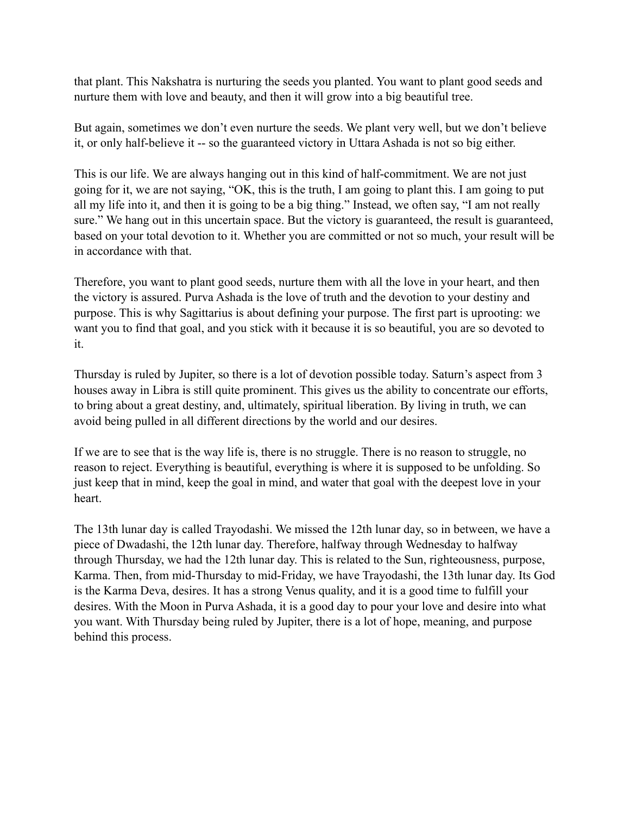that plant. This Nakshatra is nurturing the seeds you planted. You want to plant good seeds and nurture them with love and beauty, and then it will grow into a big beautiful tree.

But again, sometimes we don't even nurture the seeds. We plant very well, but we don't believe it, or only half-believe it -- so the guaranteed victory in Uttara Ashada is not so big either.

This is our life. We are always hanging out in this kind of half-commitment. We are not just going for it, we are not saying, "OK, this is the truth, I am going to plant this. I am going to put all my life into it, and then it is going to be a big thing." Instead, we often say, "I am not really sure." We hang out in this uncertain space. But the victory is guaranteed, the result is guaranteed, based on your total devotion to it. Whether you are committed or not so much, your result will be in accordance with that.

Therefore, you want to plant good seeds, nurture them with all the love in your heart, and then the victory is assured. Purva Ashada is the love of truth and the devotion to your destiny and purpose. This is why Sagittarius is about defining your purpose. The first part is uprooting: we want you to find that goal, and you stick with it because it is so beautiful, you are so devoted to it.

Thursday is ruled by Jupiter, so there is a lot of devotion possible today. Saturn's aspect from 3 houses away in Libra is still quite prominent. This gives us the ability to concentrate our efforts, to bring about a great destiny, and, ultimately, spiritual liberation. By living in truth, we can avoid being pulled in all different directions by the world and our desires.

If we are to see that is the way life is, there is no struggle. There is no reason to struggle, no reason to reject. Everything is beautiful, everything is where it is supposed to be unfolding. So just keep that in mind, keep the goal in mind, and water that goal with the deepest love in your heart.

The 13th lunar day is called Trayodashi. We missed the 12th lunar day, so in between, we have a piece of Dwadashi, the 12th lunar day. Therefore, halfway through Wednesday to halfway through Thursday, we had the 12th lunar day. This is related to the Sun, righteousness, purpose, Karma. Then, from mid-Thursday to mid-Friday, we have Trayodashi, the 13th lunar day. Its God is the Karma Deva, desires. It has a strong Venus quality, and it is a good time to fulfill your desires. With the Moon in Purva Ashada, it is a good day to pour your love and desire into what you want. With Thursday being ruled by Jupiter, there is a lot of hope, meaning, and purpose behind this process.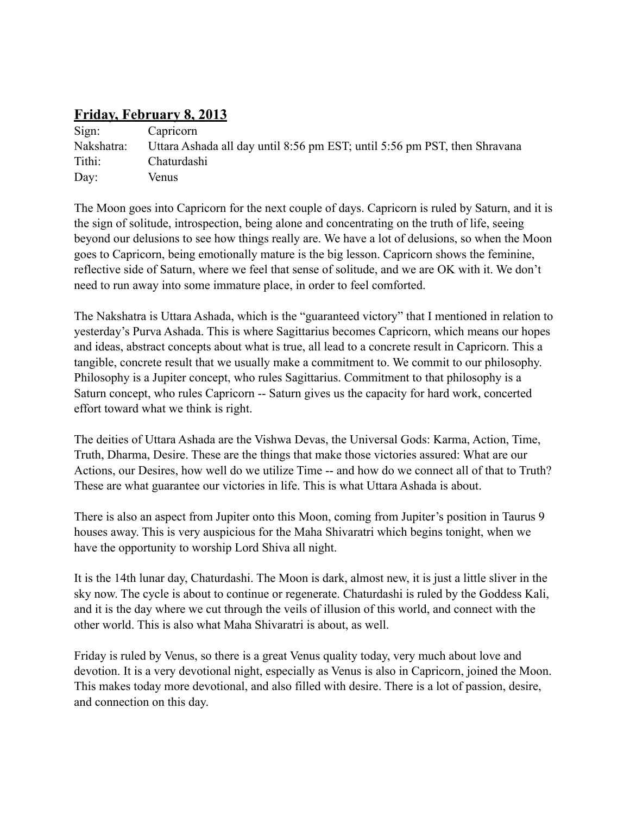# **Friday, February 8, 2013**

| Sign:      | Capricorn                                                                 |
|------------|---------------------------------------------------------------------------|
| Nakshatra: | Uttara Ashada all day until 8:56 pm EST; until 5:56 pm PST, then Shravana |
| Tithi:     | Chaturdashi                                                               |
| Day:       | Venus                                                                     |

The Moon goes into Capricorn for the next couple of days. Capricorn is ruled by Saturn, and it is the sign of solitude, introspection, being alone and concentrating on the truth of life, seeing beyond our delusions to see how things really are. We have a lot of delusions, so when the Moon goes to Capricorn, being emotionally mature is the big lesson. Capricorn shows the feminine, reflective side of Saturn, where we feel that sense of solitude, and we are OK with it. We don't need to run away into some immature place, in order to feel comforted.

The Nakshatra is Uttara Ashada, which is the "guaranteed victory" that I mentioned in relation to yesterday's Purva Ashada. This is where Sagittarius becomes Capricorn, which means our hopes and ideas, abstract concepts about what is true, all lead to a concrete result in Capricorn. This a tangible, concrete result that we usually make a commitment to. We commit to our philosophy. Philosophy is a Jupiter concept, who rules Sagittarius. Commitment to that philosophy is a Saturn concept, who rules Capricorn -- Saturn gives us the capacity for hard work, concerted effort toward what we think is right.

The deities of Uttara Ashada are the Vishwa Devas, the Universal Gods: Karma, Action, Time, Truth, Dharma, Desire. These are the things that make those victories assured: What are our Actions, our Desires, how well do we utilize Time -- and how do we connect all of that to Truth? These are what guarantee our victories in life. This is what Uttara Ashada is about.

There is also an aspect from Jupiter onto this Moon, coming from Jupiter's position in Taurus 9 houses away. This is very auspicious for the Maha Shivaratri which begins tonight, when we have the opportunity to worship Lord Shiva all night.

It is the 14th lunar day, Chaturdashi. The Moon is dark, almost new, it is just a little sliver in the sky now. The cycle is about to continue or regenerate. Chaturdashi is ruled by the Goddess Kali, and it is the day where we cut through the veils of illusion of this world, and connect with the other world. This is also what Maha Shivaratri is about, as well.

Friday is ruled by Venus, so there is a great Venus quality today, very much about love and devotion. It is a very devotional night, especially as Venus is also in Capricorn, joined the Moon. This makes today more devotional, and also filled with desire. There is a lot of passion, desire, and connection on this day.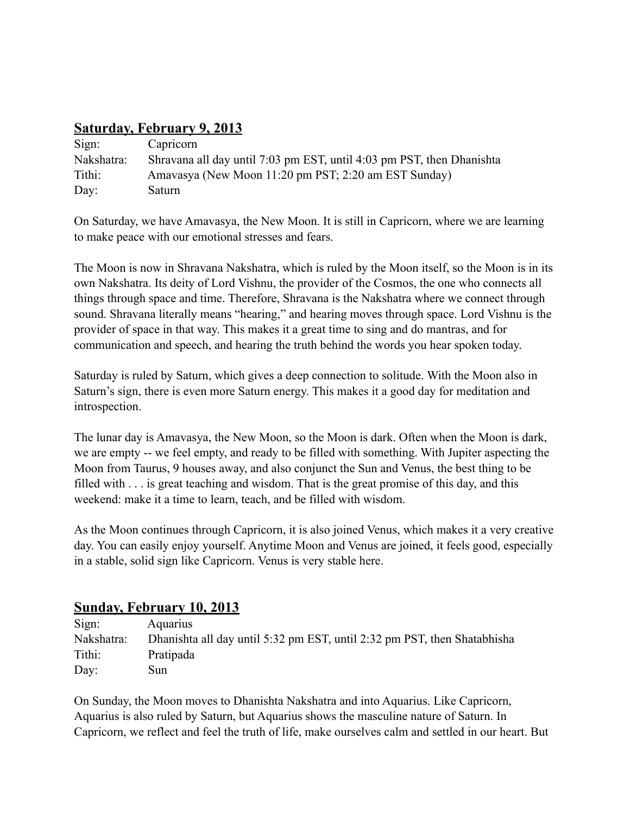# **Saturday, February 9, 2013**

| Sign:      | Capricorn                                                             |
|------------|-----------------------------------------------------------------------|
| Nakshatra: | Shravana all day until 7:03 pm EST, until 4:03 pm PST, then Dhanishta |
| Tithi:     | Amavasya (New Moon 11:20 pm PST; 2:20 am EST Sunday)                  |
| Day:       | Saturn                                                                |

On Saturday, we have Amavasya, the New Moon. It is still in Capricorn, where we are learning to make peace with our emotional stresses and fears.

The Moon is now in Shravana Nakshatra, which is ruled by the Moon itself, so the Moon is in its own Nakshatra. Its deity of Lord Vishnu, the provider of the Cosmos, the one who connects all things through space and time. Therefore, Shravana is the Nakshatra where we connect through sound. Shravana literally means "hearing," and hearing moves through space. Lord Vishnu is the provider of space in that way. This makes it a great time to sing and do mantras, and for communication and speech, and hearing the truth behind the words you hear spoken today.

Saturday is ruled by Saturn, which gives a deep connection to solitude. With the Moon also in Saturn's sign, there is even more Saturn energy. This makes it a good day for meditation and introspection.

The lunar day is Amavasya, the New Moon, so the Moon is dark. Often when the Moon is dark, we are empty -- we feel empty, and ready to be filled with something. With Jupiter aspecting the Moon from Taurus, 9 houses away, and also conjunct the Sun and Venus, the best thing to be filled with . . . is great teaching and wisdom. That is the great promise of this day, and this weekend: make it a time to learn, teach, and be filled with wisdom.

As the Moon continues through Capricorn, it is also joined Venus, which makes it a very creative day. You can easily enjoy yourself. Anytime Moon and Venus are joined, it feels good, especially in a stable, solid sign like Capricorn. Venus is very stable here.

## **Sunday, February 10, 2013**

| Sign:      | Aquarius                                                                 |
|------------|--------------------------------------------------------------------------|
| Nakshatra: | Dhanishta all day until 5:32 pm EST, until 2:32 pm PST, then Shatabhisha |
| Tithi:     | Pratipada                                                                |
| Day:       | Sun                                                                      |

On Sunday, the Moon moves to Dhanishta Nakshatra and into Aquarius. Like Capricorn, Aquarius is also ruled by Saturn, but Aquarius shows the masculine nature of Saturn. In Capricorn, we reflect and feel the truth of life, make ourselves calm and settled in our heart. But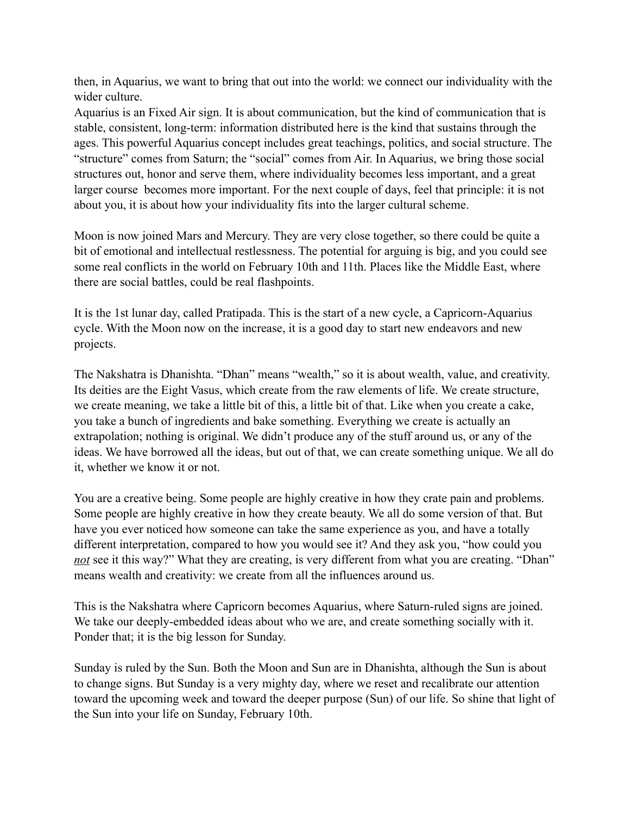then, in Aquarius, we want to bring that out into the world: we connect our individuality with the wider culture.

Aquarius is an Fixed Air sign. It is about communication, but the kind of communication that is stable, consistent, long-term: information distributed here is the kind that sustains through the ages. This powerful Aquarius concept includes great teachings, politics, and social structure. The "structure" comes from Saturn; the "social" comes from Air. In Aquarius, we bring those social structures out, honor and serve them, where individuality becomes less important, and a great larger course becomes more important. For the next couple of days, feel that principle: it is not about you, it is about how your individuality fits into the larger cultural scheme.

Moon is now joined Mars and Mercury. They are very close together, so there could be quite a bit of emotional and intellectual restlessness. The potential for arguing is big, and you could see some real conflicts in the world on February 10th and 11th. Places like the Middle East, where there are social battles, could be real flashpoints.

It is the 1st lunar day, called Pratipada. This is the start of a new cycle, a Capricorn-Aquarius cycle. With the Moon now on the increase, it is a good day to start new endeavors and new projects.

The Nakshatra is Dhanishta. "Dhan" means "wealth," so it is about wealth, value, and creativity. Its deities are the Eight Vasus, which create from the raw elements of life. We create structure, we create meaning, we take a little bit of this, a little bit of that. Like when you create a cake, you take a bunch of ingredients and bake something. Everything we create is actually an extrapolation; nothing is original. We didn't produce any of the stuff around us, or any of the ideas. We have borrowed all the ideas, but out of that, we can create something unique. We all do it, whether we know it or not.

You are a creative being. Some people are highly creative in how they crate pain and problems. Some people are highly creative in how they create beauty. We all do some version of that. But have you ever noticed how someone can take the same experience as you, and have a totally different interpretation, compared to how you would see it? And they ask you, "how could you *not* see it this way?" What they are creating, is very different from what you are creating. "Dhan" means wealth and creativity: we create from all the influences around us.

This is the Nakshatra where Capricorn becomes Aquarius, where Saturn-ruled signs are joined. We take our deeply-embedded ideas about who we are, and create something socially with it. Ponder that; it is the big lesson for Sunday.

Sunday is ruled by the Sun. Both the Moon and Sun are in Dhanishta, although the Sun is about to change signs. But Sunday is a very mighty day, where we reset and recalibrate our attention toward the upcoming week and toward the deeper purpose (Sun) of our life. So shine that light of the Sun into your life on Sunday, February 10th.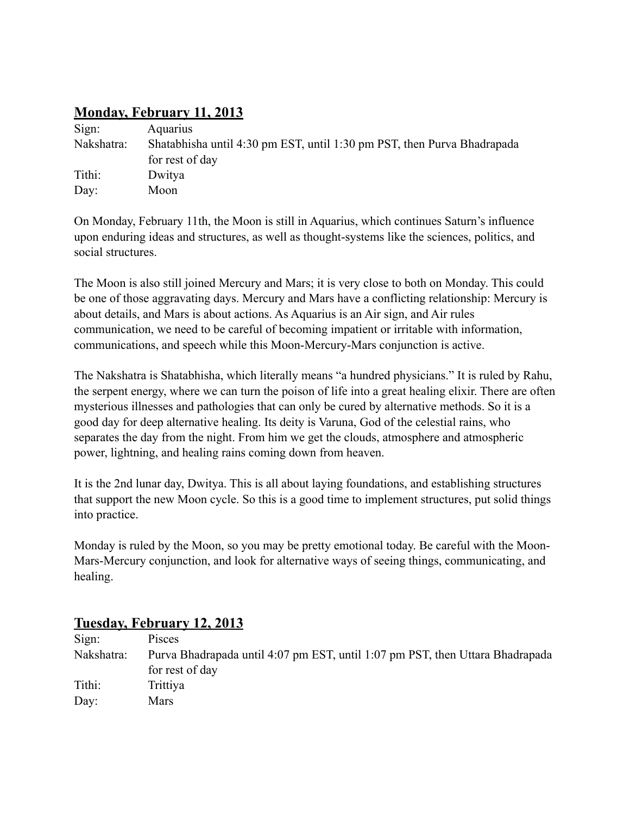# **Monday, February 11, 2013**

| Sign:      | <b>Aquarius</b>                                                         |
|------------|-------------------------------------------------------------------------|
| Nakshatra: | Shatabhisha until 4:30 pm EST, until 1:30 pm PST, then Purva Bhadrapada |
|            | for rest of day                                                         |
| Tithi:     | Dwitya                                                                  |
| Day:       | Moon                                                                    |

On Monday, February 11th, the Moon is still in Aquarius, which continues Saturn's influence upon enduring ideas and structures, as well as thought-systems like the sciences, politics, and social structures.

The Moon is also still joined Mercury and Mars; it is very close to both on Monday. This could be one of those aggravating days. Mercury and Mars have a conflicting relationship: Mercury is about details, and Mars is about actions. As Aquarius is an Air sign, and Air rules communication, we need to be careful of becoming impatient or irritable with information, communications, and speech while this Moon-Mercury-Mars conjunction is active.

The Nakshatra is Shatabhisha, which literally means "a hundred physicians." It is ruled by Rahu, the serpent energy, where we can turn the poison of life into a great healing elixir. There are often mysterious illnesses and pathologies that can only be cured by alternative methods. So it is a good day for deep alternative healing. Its deity is Varuna, God of the celestial rains, who separates the day from the night. From him we get the clouds, atmosphere and atmospheric power, lightning, and healing rains coming down from heaven.

It is the 2nd lunar day, Dwitya. This is all about laying foundations, and establishing structures that support the new Moon cycle. So this is a good time to implement structures, put solid things into practice.

Monday is ruled by the Moon, so you may be pretty emotional today. Be careful with the Moon-Mars-Mercury conjunction, and look for alternative ways of seeing things, communicating, and healing.

| Sign:      | Pisces                                                                        |
|------------|-------------------------------------------------------------------------------|
| Nakshatra: | Purva Bhadrapada until 4:07 pm EST, until 1:07 pm PST, then Uttara Bhadrapada |
|            | for rest of day                                                               |
| Tithi:     | Trittiya                                                                      |
| Day:       | Mars                                                                          |

## **Tuesday, February 12, 2013**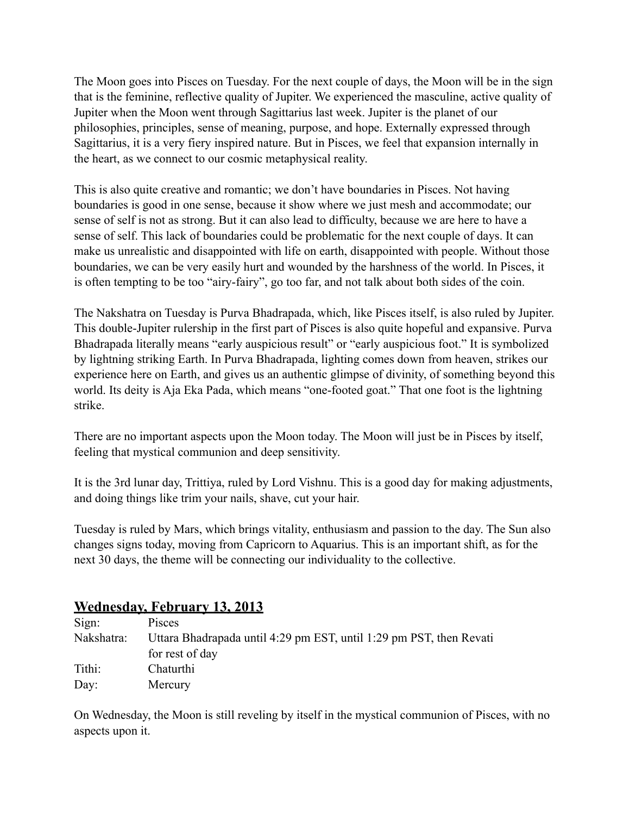The Moon goes into Pisces on Tuesday. For the next couple of days, the Moon will be in the sign that is the feminine, reflective quality of Jupiter. We experienced the masculine, active quality of Jupiter when the Moon went through Sagittarius last week. Jupiter is the planet of our philosophies, principles, sense of meaning, purpose, and hope. Externally expressed through Sagittarius, it is a very fiery inspired nature. But in Pisces, we feel that expansion internally in the heart, as we connect to our cosmic metaphysical reality.

This is also quite creative and romantic; we don't have boundaries in Pisces. Not having boundaries is good in one sense, because it show where we just mesh and accommodate; our sense of self is not as strong. But it can also lead to difficulty, because we are here to have a sense of self. This lack of boundaries could be problematic for the next couple of days. It can make us unrealistic and disappointed with life on earth, disappointed with people. Without those boundaries, we can be very easily hurt and wounded by the harshness of the world. In Pisces, it is often tempting to be too "airy-fairy", go too far, and not talk about both sides of the coin.

The Nakshatra on Tuesday is Purva Bhadrapada, which, like Pisces itself, is also ruled by Jupiter. This double-Jupiter rulership in the first part of Pisces is also quite hopeful and expansive. Purva Bhadrapada literally means "early auspicious result" or "early auspicious foot." It is symbolized by lightning striking Earth. In Purva Bhadrapada, lighting comes down from heaven, strikes our experience here on Earth, and gives us an authentic glimpse of divinity, of something beyond this world. Its deity is Aja Eka Pada, which means "one-footed goat." That one foot is the lightning strike.

There are no important aspects upon the Moon today. The Moon will just be in Pisces by itself, feeling that mystical communion and deep sensitivity.

It is the 3rd lunar day, Trittiya, ruled by Lord Vishnu. This is a good day for making adjustments, and doing things like trim your nails, shave, cut your hair.

Tuesday is ruled by Mars, which brings vitality, enthusiasm and passion to the day. The Sun also changes signs today, moving from Capricorn to Aquarius. This is an important shift, as for the next 30 days, the theme will be connecting our individuality to the collective.

## **Wednesday, February 13, 2013**

| Sign:      | Pisces                                                              |
|------------|---------------------------------------------------------------------|
| Nakshatra: | Uttara Bhadrapada until 4:29 pm EST, until 1:29 pm PST, then Revati |
|            | for rest of day                                                     |
| Tithi:     | Chaturthi                                                           |
| Day:       | Mercury                                                             |

On Wednesday, the Moon is still reveling by itself in the mystical communion of Pisces, with no aspects upon it.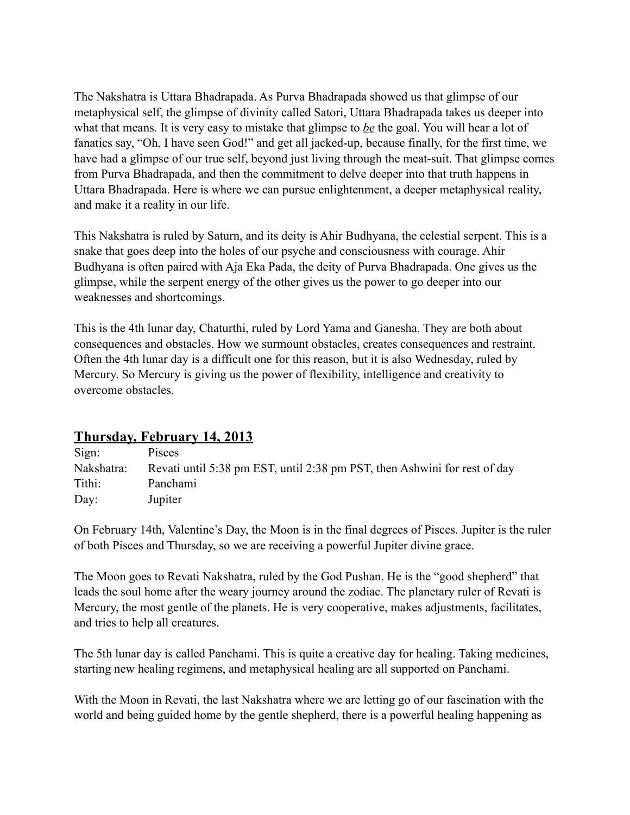The Nakshatra is Uttara Bhadrapada. As Purva Bhadrapada showed us that glimpse of our metaphysical self, the glimpse of divinity called Satori, Uttara Bhadrapada takes us deeper into what that means. It is very easy to mistake that glimpse to *be* the goal. You will hear a lot of fanatics say, "Oh, I have seen God!" and get all jacked-up, because finally, for the first time, we have had a glimpse of our true self, beyond just living through the meat-suit. That glimpse comes from Purva Bhadrapada, and then the commitment to delve deeper into that truth happens in Uttara Bhadrapada. Here is where we can pursue enlightenment, a deeper metaphysical reality, and make it a reality in our life.

This Nakshatra is ruled by Saturn, and its deity is Ahir Budhyana, the celestial serpent. This is a snake that goes deep into the holes of our psyche and consciousness with courage. Ahir Budhyana is often paired with Aja Eka Pada, the deity of Purva Bhadrapada. One gives us the glimpse, while the serpent energy of the other gives us the power to go deeper into our weaknesses and shortcomings.

This is the 4th lunar day, Chaturthi, ruled by Lord Yama and Ganesha. They are both about consequences and obstacles. How we surmount obstacles, creates consequences and restraint. Often the 4th lunar day is a difficult one for this reason, but it is also Wednesday, ruled by Mercury. So Mercury is giving us the power of flexibility, intelligence and creativity to overcome obstacles.

## **Thursday, February 14, 2013**

| Sign:      | Pisces                                                                    |
|------------|---------------------------------------------------------------------------|
| Nakshatra: | Revati until 5:38 pm EST, until 2:38 pm PST, then Ashwini for rest of day |
| Tithi:     | Panchami                                                                  |
| Day:       | Jupiter                                                                   |

On February 14th, Valentine's Day, the Moon is in the final degrees of Pisces. Jupiter is the ruler of both Pisces and Thursday, so we are receiving a powerful Jupiter divine grace.

The Moon goes to Revati Nakshatra, ruled by the God Pushan. He is the "good shepherd" that leads the soul home after the weary journey around the zodiac. The planetary ruler of Revati is Mercury, the most gentle of the planets. He is very cooperative, makes adjustments, facilitates, and tries to help all creatures.

The 5th lunar day is called Panchami. This is quite a creative day for healing. Taking medicines, starting new healing regimens, and metaphysical healing are all supported on Panchami.

With the Moon in Revati, the last Nakshatra where we are letting go of our fascination with the world and being guided home by the gentle shepherd, there is a powerful healing happening as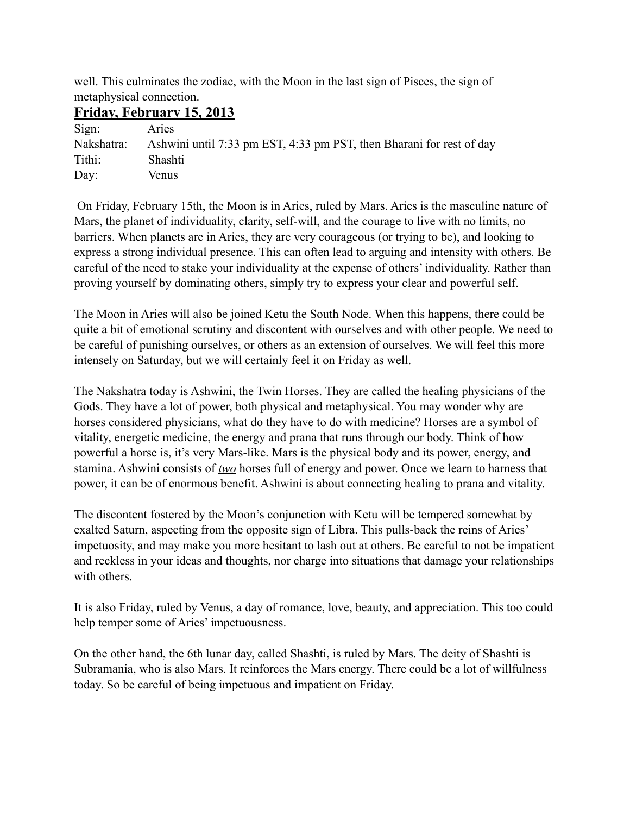well. This culminates the zodiac, with the Moon in the last sign of Pisces, the sign of metaphysical connection.

#### **Friday, February 15, 2013**

| Sign:      | Aries                                                                |
|------------|----------------------------------------------------------------------|
| Nakshatra: | Ashwini until 7:33 pm EST, 4:33 pm PST, then Bharani for rest of day |
| Tithi:     | Shashti                                                              |
| Day:       | Venus                                                                |

 On Friday, February 15th, the Moon is in Aries, ruled by Mars. Aries is the masculine nature of Mars, the planet of individuality, clarity, self-will, and the courage to live with no limits, no barriers. When planets are in Aries, they are very courageous (or trying to be), and looking to express a strong individual presence. This can often lead to arguing and intensity with others. Be careful of the need to stake your individuality at the expense of others' individuality. Rather than proving yourself by dominating others, simply try to express your clear and powerful self.

The Moon in Aries will also be joined Ketu the South Node. When this happens, there could be quite a bit of emotional scrutiny and discontent with ourselves and with other people. We need to be careful of punishing ourselves, or others as an extension of ourselves. We will feel this more intensely on Saturday, but we will certainly feel it on Friday as well.

The Nakshatra today is Ashwini, the Twin Horses. They are called the healing physicians of the Gods. They have a lot of power, both physical and metaphysical. You may wonder why are horses considered physicians, what do they have to do with medicine? Horses are a symbol of vitality, energetic medicine, the energy and prana that runs through our body. Think of how powerful a horse is, it's very Mars-like. Mars is the physical body and its power, energy, and stamina. Ashwini consists of *two* horses full of energy and power. Once we learn to harness that power, it can be of enormous benefit. Ashwini is about connecting healing to prana and vitality.

The discontent fostered by the Moon's conjunction with Ketu will be tempered somewhat by exalted Saturn, aspecting from the opposite sign of Libra. This pulls-back the reins of Aries' impetuosity, and may make you more hesitant to lash out at others. Be careful to not be impatient and reckless in your ideas and thoughts, nor charge into situations that damage your relationships with others.

It is also Friday, ruled by Venus, a day of romance, love, beauty, and appreciation. This too could help temper some of Aries' impetuousness.

On the other hand, the 6th lunar day, called Shashti, is ruled by Mars. The deity of Shashti is Subramania, who is also Mars. It reinforces the Mars energy. There could be a lot of willfulness today. So be careful of being impetuous and impatient on Friday.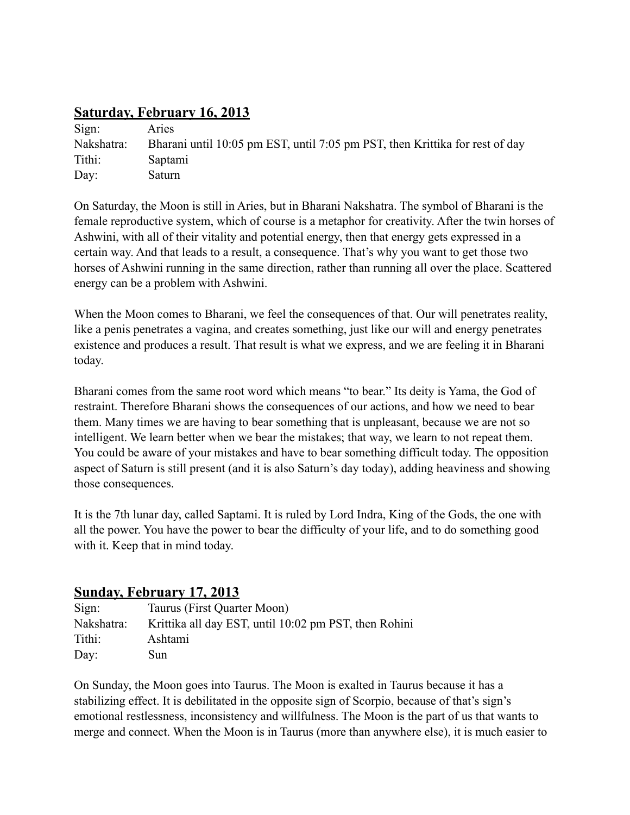## **Saturday, February 16, 2013**

| Sign:      | Aries                                                                        |
|------------|------------------------------------------------------------------------------|
| Nakshatra: | Bharani until 10:05 pm EST, until 7:05 pm PST, then Krittika for rest of day |
| Tithi:     | Saptami                                                                      |
| Day:       | Saturn                                                                       |

On Saturday, the Moon is still in Aries, but in Bharani Nakshatra. The symbol of Bharani is the female reproductive system, which of course is a metaphor for creativity. After the twin horses of Ashwini, with all of their vitality and potential energy, then that energy gets expressed in a certain way. And that leads to a result, a consequence. That's why you want to get those two horses of Ashwini running in the same direction, rather than running all over the place. Scattered energy can be a problem with Ashwini.

When the Moon comes to Bharani, we feel the consequences of that. Our will penetrates reality, like a penis penetrates a vagina, and creates something, just like our will and energy penetrates existence and produces a result. That result is what we express, and we are feeling it in Bharani today.

Bharani comes from the same root word which means "to bear." Its deity is Yama, the God of restraint. Therefore Bharani shows the consequences of our actions, and how we need to bear them. Many times we are having to bear something that is unpleasant, because we are not so intelligent. We learn better when we bear the mistakes; that way, we learn to not repeat them. You could be aware of your mistakes and have to bear something difficult today. The opposition aspect of Saturn is still present (and it is also Saturn's day today), adding heaviness and showing those consequences.

It is the 7th lunar day, called Saptami. It is ruled by Lord Indra, King of the Gods, the one with all the power. You have the power to bear the difficulty of your life, and to do something good with it. Keep that in mind today.

## **Sunday, February 17, 2013**

| Sign:      | Taurus (First Quarter Moon)                           |
|------------|-------------------------------------------------------|
| Nakshatra: | Krittika all day EST, until 10:02 pm PST, then Rohini |
| Tithi:     | Ashtami                                               |
| Day:       | Sun                                                   |

On Sunday, the Moon goes into Taurus. The Moon is exalted in Taurus because it has a stabilizing effect. It is debilitated in the opposite sign of Scorpio, because of that's sign's emotional restlessness, inconsistency and willfulness. The Moon is the part of us that wants to merge and connect. When the Moon is in Taurus (more than anywhere else), it is much easier to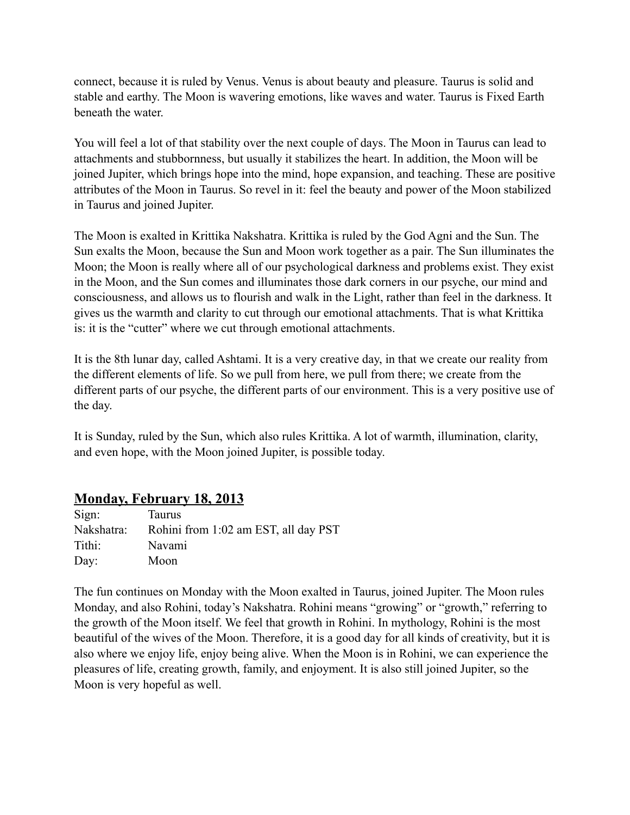connect, because it is ruled by Venus. Venus is about beauty and pleasure. Taurus is solid and stable and earthy. The Moon is wavering emotions, like waves and water. Taurus is Fixed Earth beneath the water.

You will feel a lot of that stability over the next couple of days. The Moon in Taurus can lead to attachments and stubbornness, but usually it stabilizes the heart. In addition, the Moon will be joined Jupiter, which brings hope into the mind, hope expansion, and teaching. These are positive attributes of the Moon in Taurus. So revel in it: feel the beauty and power of the Moon stabilized in Taurus and joined Jupiter.

The Moon is exalted in Krittika Nakshatra. Krittika is ruled by the God Agni and the Sun. The Sun exalts the Moon, because the Sun and Moon work together as a pair. The Sun illuminates the Moon; the Moon is really where all of our psychological darkness and problems exist. They exist in the Moon, and the Sun comes and illuminates those dark corners in our psyche, our mind and consciousness, and allows us to flourish and walk in the Light, rather than feel in the darkness. It gives us the warmth and clarity to cut through our emotional attachments. That is what Krittika is: it is the "cutter" where we cut through emotional attachments.

It is the 8th lunar day, called Ashtami. It is a very creative day, in that we create our reality from the different elements of life. So we pull from here, we pull from there; we create from the different parts of our psyche, the different parts of our environment. This is a very positive use of the day.

It is Sunday, ruled by the Sun, which also rules Krittika. A lot of warmth, illumination, clarity, and even hope, with the Moon joined Jupiter, is possible today.

## **Monday, February 18, 2013**

| Sign:      | <b>Taurus</b>                        |
|------------|--------------------------------------|
| Nakshatra: | Rohini from 1:02 am EST, all day PST |
| Tithi:     | Navami                               |
| Day:       | Moon                                 |

The fun continues on Monday with the Moon exalted in Taurus, joined Jupiter. The Moon rules Monday, and also Rohini, today's Nakshatra. Rohini means "growing" or "growth," referring to the growth of the Moon itself. We feel that growth in Rohini. In mythology, Rohini is the most beautiful of the wives of the Moon. Therefore, it is a good day for all kinds of creativity, but it is also where we enjoy life, enjoy being alive. When the Moon is in Rohini, we can experience the pleasures of life, creating growth, family, and enjoyment. It is also still joined Jupiter, so the Moon is very hopeful as well.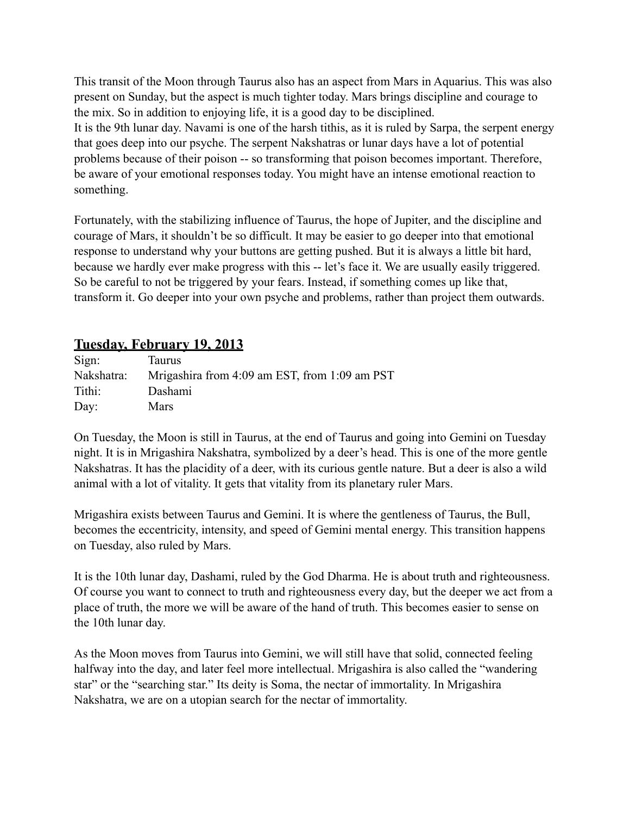This transit of the Moon through Taurus also has an aspect from Mars in Aquarius. This was also present on Sunday, but the aspect is much tighter today. Mars brings discipline and courage to the mix. So in addition to enjoying life, it is a good day to be disciplined. It is the 9th lunar day. Navami is one of the harsh tithis, as it is ruled by Sarpa, the serpent energy that goes deep into our psyche. The serpent Nakshatras or lunar days have a lot of potential problems because of their poison -- so transforming that poison becomes important. Therefore, be aware of your emotional responses today. You might have an intense emotional reaction to something.

Fortunately, with the stabilizing influence of Taurus, the hope of Jupiter, and the discipline and courage of Mars, it shouldn't be so difficult. It may be easier to go deeper into that emotional response to understand why your buttons are getting pushed. But it is always a little bit hard, because we hardly ever make progress with this -- let's face it. We are usually easily triggered. So be careful to not be triggered by your fears. Instead, if something comes up like that, transform it. Go deeper into your own psyche and problems, rather than project them outwards.

## **Tuesday, February 19, 2013**

| Sign:      | Taurus                                        |
|------------|-----------------------------------------------|
| Nakshatra: | Mrigashira from 4:09 am EST, from 1:09 am PST |
| Tithi:     | Dashami                                       |
| Day:       | <b>Mars</b>                                   |

On Tuesday, the Moon is still in Taurus, at the end of Taurus and going into Gemini on Tuesday night. It is in Mrigashira Nakshatra, symbolized by a deer's head. This is one of the more gentle Nakshatras. It has the placidity of a deer, with its curious gentle nature. But a deer is also a wild animal with a lot of vitality. It gets that vitality from its planetary ruler Mars.

Mrigashira exists between Taurus and Gemini. It is where the gentleness of Taurus, the Bull, becomes the eccentricity, intensity, and speed of Gemini mental energy. This transition happens on Tuesday, also ruled by Mars.

It is the 10th lunar day, Dashami, ruled by the God Dharma. He is about truth and righteousness. Of course you want to connect to truth and righteousness every day, but the deeper we act from a place of truth, the more we will be aware of the hand of truth. This becomes easier to sense on the 10th lunar day.

As the Moon moves from Taurus into Gemini, we will still have that solid, connected feeling halfway into the day, and later feel more intellectual. Mrigashira is also called the "wandering star" or the "searching star." Its deity is Soma, the nectar of immortality. In Mrigashira Nakshatra, we are on a utopian search for the nectar of immortality.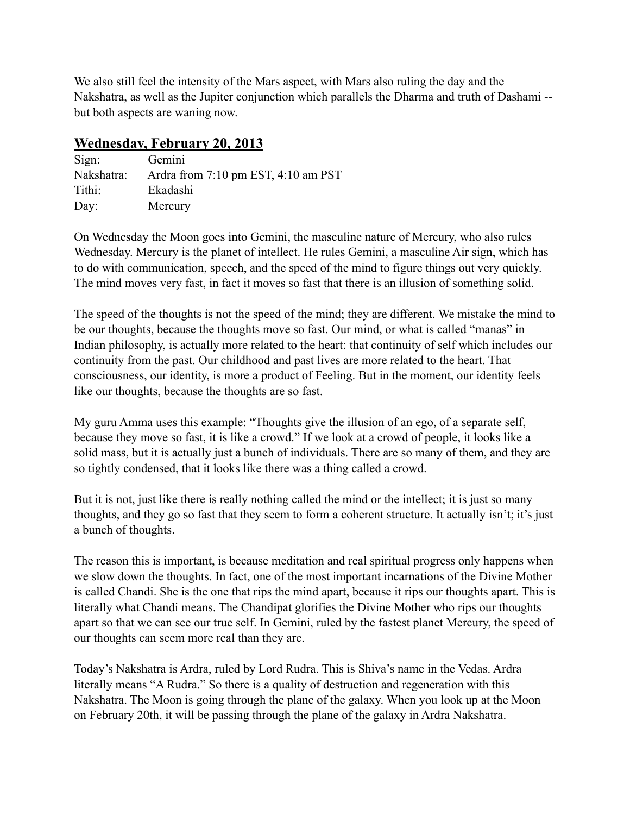We also still feel the intensity of the Mars aspect, with Mars also ruling the day and the Nakshatra, as well as the Jupiter conjunction which parallels the Dharma and truth of Dashami - but both aspects are waning now.

## **Wednesday, February 20, 2013**

| Sign:      | Gemini                                                  |
|------------|---------------------------------------------------------|
| Nakshatra: | Ardra from $7:10 \text{ pm}$ EST, $4:10 \text{ am}$ PST |
| Tithi:     | Ekadashi                                                |
| Day:       | Mercury                                                 |

On Wednesday the Moon goes into Gemini, the masculine nature of Mercury, who also rules Wednesday. Mercury is the planet of intellect. He rules Gemini, a masculine Air sign, which has to do with communication, speech, and the speed of the mind to figure things out very quickly. The mind moves very fast, in fact it moves so fast that there is an illusion of something solid.

The speed of the thoughts is not the speed of the mind; they are different. We mistake the mind to be our thoughts, because the thoughts move so fast. Our mind, or what is called "manas" in Indian philosophy, is actually more related to the heart: that continuity of self which includes our continuity from the past. Our childhood and past lives are more related to the heart. That consciousness, our identity, is more a product of Feeling. But in the moment, our identity feels like our thoughts, because the thoughts are so fast.

My guru Amma uses this example: "Thoughts give the illusion of an ego, of a separate self, because they move so fast, it is like a crowd." If we look at a crowd of people, it looks like a solid mass, but it is actually just a bunch of individuals. There are so many of them, and they are so tightly condensed, that it looks like there was a thing called a crowd.

But it is not, just like there is really nothing called the mind or the intellect; it is just so many thoughts, and they go so fast that they seem to form a coherent structure. It actually isn't; it's just a bunch of thoughts.

The reason this is important, is because meditation and real spiritual progress only happens when we slow down the thoughts. In fact, one of the most important incarnations of the Divine Mother is called Chandi. She is the one that rips the mind apart, because it rips our thoughts apart. This is literally what Chandi means. The Chandipat glorifies the Divine Mother who rips our thoughts apart so that we can see our true self. In Gemini, ruled by the fastest planet Mercury, the speed of our thoughts can seem more real than they are.

Today's Nakshatra is Ardra, ruled by Lord Rudra. This is Shiva's name in the Vedas. Ardra literally means "A Rudra." So there is a quality of destruction and regeneration with this Nakshatra. The Moon is going through the plane of the galaxy. When you look up at the Moon on February 20th, it will be passing through the plane of the galaxy in Ardra Nakshatra.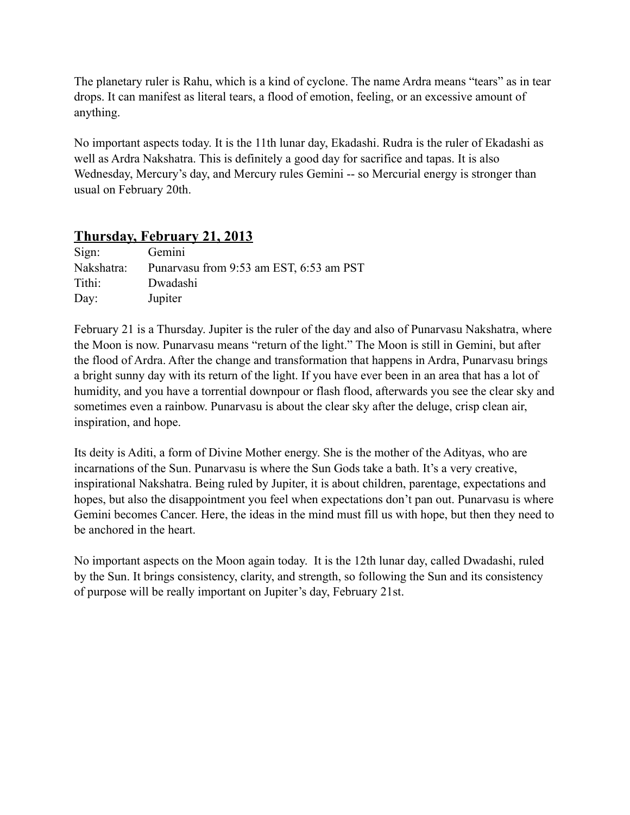The planetary ruler is Rahu, which is a kind of cyclone. The name Ardra means "tears" as in tear drops. It can manifest as literal tears, a flood of emotion, feeling, or an excessive amount of anything.

No important aspects today. It is the 11th lunar day, Ekadashi. Rudra is the ruler of Ekadashi as well as Ardra Nakshatra. This is definitely a good day for sacrifice and tapas. It is also Wednesday, Mercury's day, and Mercury rules Gemini -- so Mercurial energy is stronger than usual on February 20th.

#### **Thursday, February 21, 2013**

| Sign:      | Gemini                                  |
|------------|-----------------------------------------|
| Nakshatra: | Punaryasu from 9:53 am EST, 6:53 am PST |
| Tithi:     | Dwadashi                                |
| Day:       | Jupiter                                 |

February 21 is a Thursday. Jupiter is the ruler of the day and also of Punarvasu Nakshatra, where the Moon is now. Punarvasu means "return of the light." The Moon is still in Gemini, but after the flood of Ardra. After the change and transformation that happens in Ardra, Punarvasu brings a bright sunny day with its return of the light. If you have ever been in an area that has a lot of humidity, and you have a torrential downpour or flash flood, afterwards you see the clear sky and sometimes even a rainbow. Punarvasu is about the clear sky after the deluge, crisp clean air, inspiration, and hope.

Its deity is Aditi, a form of Divine Mother energy. She is the mother of the Adityas, who are incarnations of the Sun. Punarvasu is where the Sun Gods take a bath. It's a very creative, inspirational Nakshatra. Being ruled by Jupiter, it is about children, parentage, expectations and hopes, but also the disappointment you feel when expectations don't pan out. Punarvasu is where Gemini becomes Cancer. Here, the ideas in the mind must fill us with hope, but then they need to be anchored in the heart.

No important aspects on the Moon again today. It is the 12th lunar day, called Dwadashi, ruled by the Sun. It brings consistency, clarity, and strength, so following the Sun and its consistency of purpose will be really important on Jupiter's day, February 21st.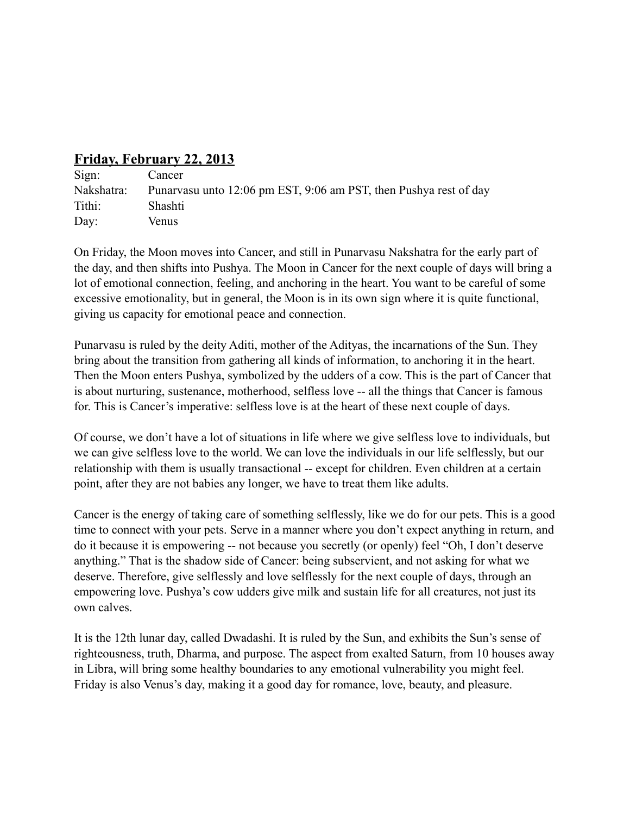## **Friday, February 22, 2013**

| Sign:      | Cancer                                                            |
|------------|-------------------------------------------------------------------|
| Nakshatra: | Punarvasu unto 12:06 pm EST, 9:06 am PST, then Pushya rest of day |
| Tithi:     | Shashti                                                           |
| Day:       | Venus                                                             |

On Friday, the Moon moves into Cancer, and still in Punarvasu Nakshatra for the early part of the day, and then shifts into Pushya. The Moon in Cancer for the next couple of days will bring a lot of emotional connection, feeling, and anchoring in the heart. You want to be careful of some excessive emotionality, but in general, the Moon is in its own sign where it is quite functional, giving us capacity for emotional peace and connection.

Punarvasu is ruled by the deity Aditi, mother of the Adityas, the incarnations of the Sun. They bring about the transition from gathering all kinds of information, to anchoring it in the heart. Then the Moon enters Pushya, symbolized by the udders of a cow. This is the part of Cancer that is about nurturing, sustenance, motherhood, selfless love -- all the things that Cancer is famous for. This is Cancer's imperative: selfless love is at the heart of these next couple of days.

Of course, we don't have a lot of situations in life where we give selfless love to individuals, but we can give selfless love to the world. We can love the individuals in our life selflessly, but our relationship with them is usually transactional -- except for children. Even children at a certain point, after they are not babies any longer, we have to treat them like adults.

Cancer is the energy of taking care of something selflessly, like we do for our pets. This is a good time to connect with your pets. Serve in a manner where you don't expect anything in return, and do it because it is empowering -- not because you secretly (or openly) feel "Oh, I don't deserve anything." That is the shadow side of Cancer: being subservient, and not asking for what we deserve. Therefore, give selflessly and love selflessly for the next couple of days, through an empowering love. Pushya's cow udders give milk and sustain life for all creatures, not just its own calves.

It is the 12th lunar day, called Dwadashi. It is ruled by the Sun, and exhibits the Sun's sense of righteousness, truth, Dharma, and purpose. The aspect from exalted Saturn, from 10 houses away in Libra, will bring some healthy boundaries to any emotional vulnerability you might feel. Friday is also Venus's day, making it a good day for romance, love, beauty, and pleasure.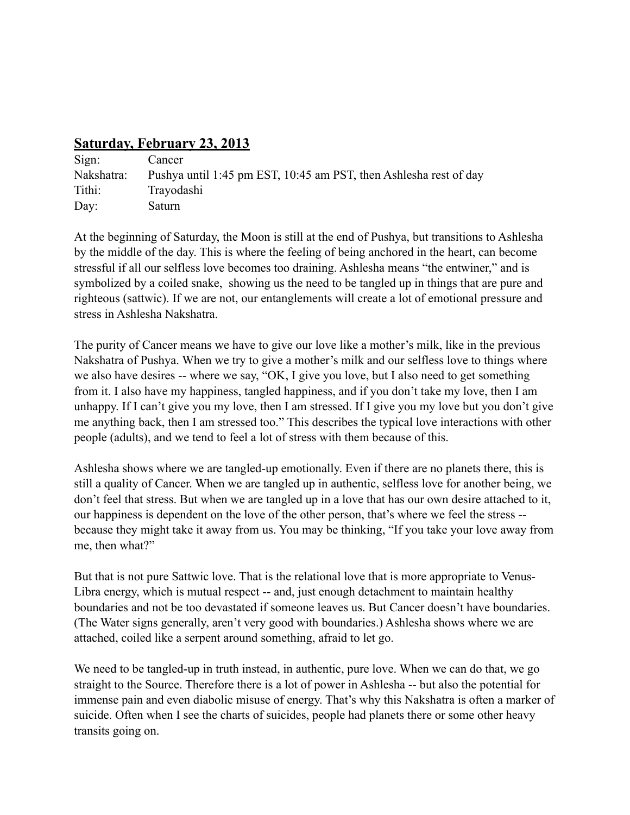## **Saturday, February 23, 2013**

| Sign:      | Cancer                                                            |
|------------|-------------------------------------------------------------------|
| Nakshatra: | Pushya until 1:45 pm EST, 10:45 am PST, then Ashlesha rest of day |
| Tithi:     | Trayodashi                                                        |
| Day:       | Saturn                                                            |

At the beginning of Saturday, the Moon is still at the end of Pushya, but transitions to Ashlesha by the middle of the day. This is where the feeling of being anchored in the heart, can become stressful if all our selfless love becomes too draining. Ashlesha means "the entwiner," and is symbolized by a coiled snake, showing us the need to be tangled up in things that are pure and righteous (sattwic). If we are not, our entanglements will create a lot of emotional pressure and stress in Ashlesha Nakshatra.

The purity of Cancer means we have to give our love like a mother's milk, like in the previous Nakshatra of Pushya. When we try to give a mother's milk and our selfless love to things where we also have desires -- where we say, "OK, I give you love, but I also need to get something from it. I also have my happiness, tangled happiness, and if you don't take my love, then I am unhappy. If I can't give you my love, then I am stressed. If I give you my love but you don't give me anything back, then I am stressed too." This describes the typical love interactions with other people (adults), and we tend to feel a lot of stress with them because of this.

Ashlesha shows where we are tangled-up emotionally. Even if there are no planets there, this is still a quality of Cancer. When we are tangled up in authentic, selfless love for another being, we don't feel that stress. But when we are tangled up in a love that has our own desire attached to it, our happiness is dependent on the love of the other person, that's where we feel the stress - because they might take it away from us. You may be thinking, "If you take your love away from me, then what?"

But that is not pure Sattwic love. That is the relational love that is more appropriate to Venus-Libra energy, which is mutual respect -- and, just enough detachment to maintain healthy boundaries and not be too devastated if someone leaves us. But Cancer doesn't have boundaries. (The Water signs generally, aren't very good with boundaries.) Ashlesha shows where we are attached, coiled like a serpent around something, afraid to let go.

We need to be tangled-up in truth instead, in authentic, pure love. When we can do that, we go straight to the Source. Therefore there is a lot of power in Ashlesha -- but also the potential for immense pain and even diabolic misuse of energy. That's why this Nakshatra is often a marker of suicide. Often when I see the charts of suicides, people had planets there or some other heavy transits going on.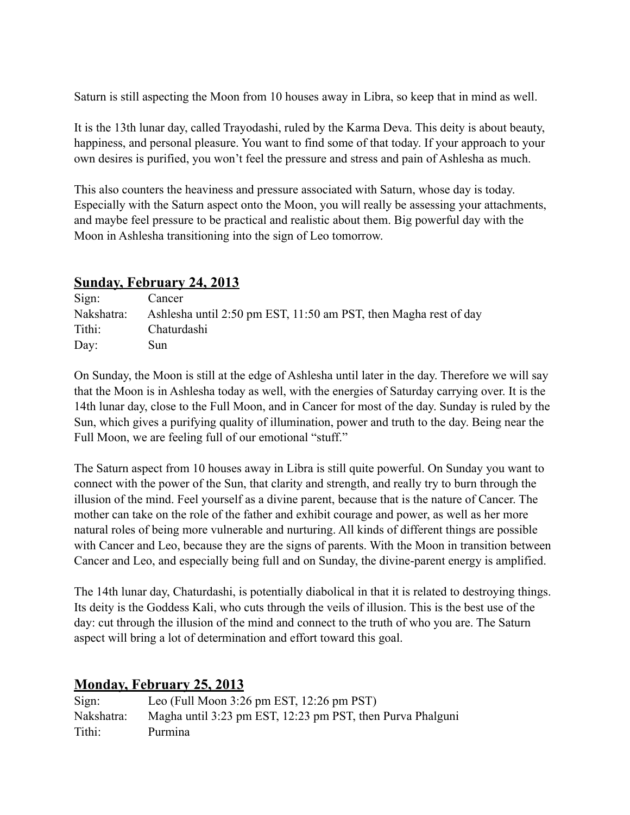Saturn is still aspecting the Moon from 10 houses away in Libra, so keep that in mind as well.

It is the 13th lunar day, called Trayodashi, ruled by the Karma Deva. This deity is about beauty, happiness, and personal pleasure. You want to find some of that today. If your approach to your own desires is purified, you won't feel the pressure and stress and pain of Ashlesha as much.

This also counters the heaviness and pressure associated with Saturn, whose day is today. Especially with the Saturn aspect onto the Moon, you will really be assessing your attachments, and maybe feel pressure to be practical and realistic about them. Big powerful day with the Moon in Ashlesha transitioning into the sign of Leo tomorrow.

#### **Sunday, February 24, 2013**

| Sign:      | Cancer                                                           |
|------------|------------------------------------------------------------------|
| Nakshatra: | Ashlesha until 2:50 pm EST, 11:50 am PST, then Magha rest of day |
| Tithi:     | Chaturdashi                                                      |
| Day:       | Sun                                                              |

On Sunday, the Moon is still at the edge of Ashlesha until later in the day. Therefore we will say that the Moon is in Ashlesha today as well, with the energies of Saturday carrying over. It is the 14th lunar day, close to the Full Moon, and in Cancer for most of the day. Sunday is ruled by the Sun, which gives a purifying quality of illumination, power and truth to the day. Being near the Full Moon, we are feeling full of our emotional "stuff."

The Saturn aspect from 10 houses away in Libra is still quite powerful. On Sunday you want to connect with the power of the Sun, that clarity and strength, and really try to burn through the illusion of the mind. Feel yourself as a divine parent, because that is the nature of Cancer. The mother can take on the role of the father and exhibit courage and power, as well as her more natural roles of being more vulnerable and nurturing. All kinds of different things are possible with Cancer and Leo, because they are the signs of parents. With the Moon in transition between Cancer and Leo, and especially being full and on Sunday, the divine-parent energy is amplified.

The 14th lunar day, Chaturdashi, is potentially diabolical in that it is related to destroying things. Its deity is the Goddess Kali, who cuts through the veils of illusion. This is the best use of the day: cut through the illusion of the mind and connect to the truth of who you are. The Saturn aspect will bring a lot of determination and effort toward this goal.

## **Monday, February 25, 2013**

| Sign:      | Leo (Full Moon 3:26 pm EST, $12:26$ pm PST)                |
|------------|------------------------------------------------------------|
| Nakshatra: | Magha until 3:23 pm EST, 12:23 pm PST, then Purva Phalguni |
| Tithi:     | Purmina                                                    |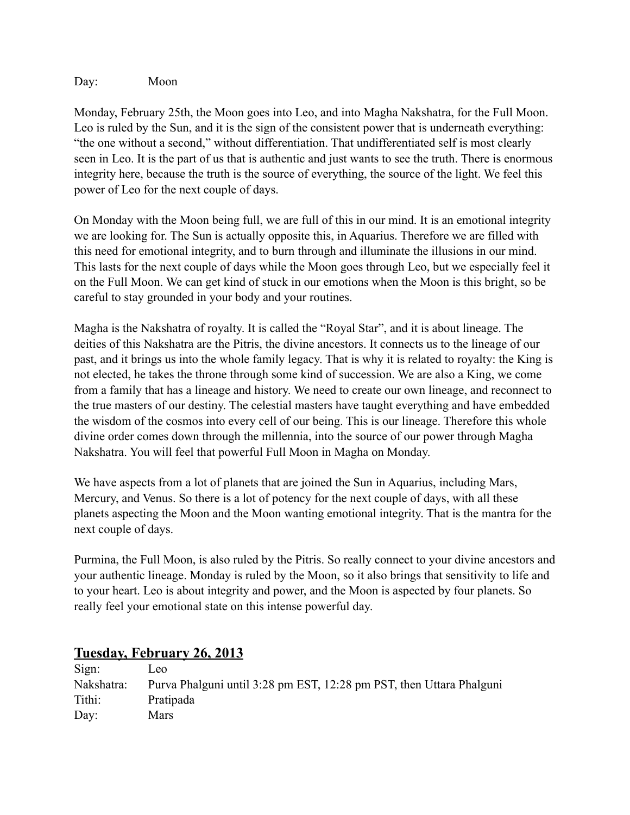Day: Moon

Monday, February 25th, the Moon goes into Leo, and into Magha Nakshatra, for the Full Moon. Leo is ruled by the Sun, and it is the sign of the consistent power that is underneath everything: "the one without a second," without differentiation. That undifferentiated self is most clearly seen in Leo. It is the part of us that is authentic and just wants to see the truth. There is enormous integrity here, because the truth is the source of everything, the source of the light. We feel this power of Leo for the next couple of days.

On Monday with the Moon being full, we are full of this in our mind. It is an emotional integrity we are looking for. The Sun is actually opposite this, in Aquarius. Therefore we are filled with this need for emotional integrity, and to burn through and illuminate the illusions in our mind. This lasts for the next couple of days while the Moon goes through Leo, but we especially feel it on the Full Moon. We can get kind of stuck in our emotions when the Moon is this bright, so be careful to stay grounded in your body and your routines.

Magha is the Nakshatra of royalty. It is called the "Royal Star", and it is about lineage. The deities of this Nakshatra are the Pitris, the divine ancestors. It connects us to the lineage of our past, and it brings us into the whole family legacy. That is why it is related to royalty: the King is not elected, he takes the throne through some kind of succession. We are also a King, we come from a family that has a lineage and history. We need to create our own lineage, and reconnect to the true masters of our destiny. The celestial masters have taught everything and have embedded the wisdom of the cosmos into every cell of our being. This is our lineage. Therefore this whole divine order comes down through the millennia, into the source of our power through Magha Nakshatra. You will feel that powerful Full Moon in Magha on Monday.

We have aspects from a lot of planets that are joined the Sun in Aquarius, including Mars, Mercury, and Venus. So there is a lot of potency for the next couple of days, with all these planets aspecting the Moon and the Moon wanting emotional integrity. That is the mantra for the next couple of days.

Purmina, the Full Moon, is also ruled by the Pitris. So really connect to your divine ancestors and your authentic lineage. Monday is ruled by the Moon, so it also brings that sensitivity to life and to your heart. Leo is about integrity and power, and the Moon is aspected by four planets. So really feel your emotional state on this intense powerful day.

#### **Tuesday, February 26, 2013**

| Sign:         | Leo                                                                  |
|---------------|----------------------------------------------------------------------|
| Nakshatra:    | Purva Phalguni until 3:28 pm EST, 12:28 pm PST, then Uttara Phalguni |
| Tithi:        | Pratipada                                                            |
| $\text{Dav}:$ | <b>Mars</b>                                                          |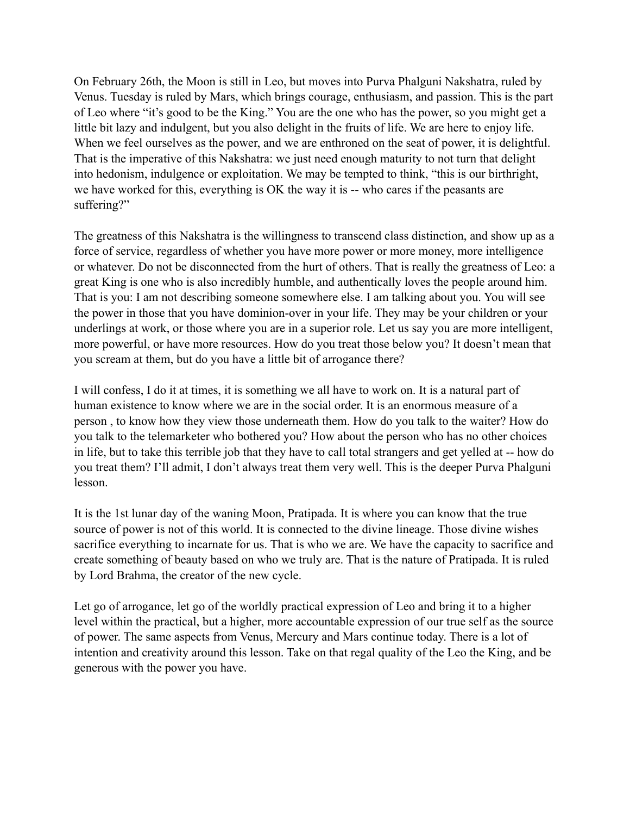On February 26th, the Moon is still in Leo, but moves into Purva Phalguni Nakshatra, ruled by Venus. Tuesday is ruled by Mars, which brings courage, enthusiasm, and passion. This is the part of Leo where "it's good to be the King." You are the one who has the power, so you might get a little bit lazy and indulgent, but you also delight in the fruits of life. We are here to enjoy life. When we feel ourselves as the power, and we are enthroned on the seat of power, it is delightful. That is the imperative of this Nakshatra: we just need enough maturity to not turn that delight into hedonism, indulgence or exploitation. We may be tempted to think, "this is our birthright, we have worked for this, everything is OK the way it is -- who cares if the peasants are suffering?"

The greatness of this Nakshatra is the willingness to transcend class distinction, and show up as a force of service, regardless of whether you have more power or more money, more intelligence or whatever. Do not be disconnected from the hurt of others. That is really the greatness of Leo: a great King is one who is also incredibly humble, and authentically loves the people around him. That is you: I am not describing someone somewhere else. I am talking about you. You will see the power in those that you have dominion-over in your life. They may be your children or your underlings at work, or those where you are in a superior role. Let us say you are more intelligent, more powerful, or have more resources. How do you treat those below you? It doesn't mean that you scream at them, but do you have a little bit of arrogance there?

I will confess, I do it at times, it is something we all have to work on. It is a natural part of human existence to know where we are in the social order. It is an enormous measure of a person , to know how they view those underneath them. How do you talk to the waiter? How do you talk to the telemarketer who bothered you? How about the person who has no other choices in life, but to take this terrible job that they have to call total strangers and get yelled at -- how do you treat them? I'll admit, I don't always treat them very well. This is the deeper Purva Phalguni lesson.

It is the 1st lunar day of the waning Moon, Pratipada. It is where you can know that the true source of power is not of this world. It is connected to the divine lineage. Those divine wishes sacrifice everything to incarnate for us. That is who we are. We have the capacity to sacrifice and create something of beauty based on who we truly are. That is the nature of Pratipada. It is ruled by Lord Brahma, the creator of the new cycle.

Let go of arrogance, let go of the worldly practical expression of Leo and bring it to a higher level within the practical, but a higher, more accountable expression of our true self as the source of power. The same aspects from Venus, Mercury and Mars continue today. There is a lot of intention and creativity around this lesson. Take on that regal quality of the Leo the King, and be generous with the power you have.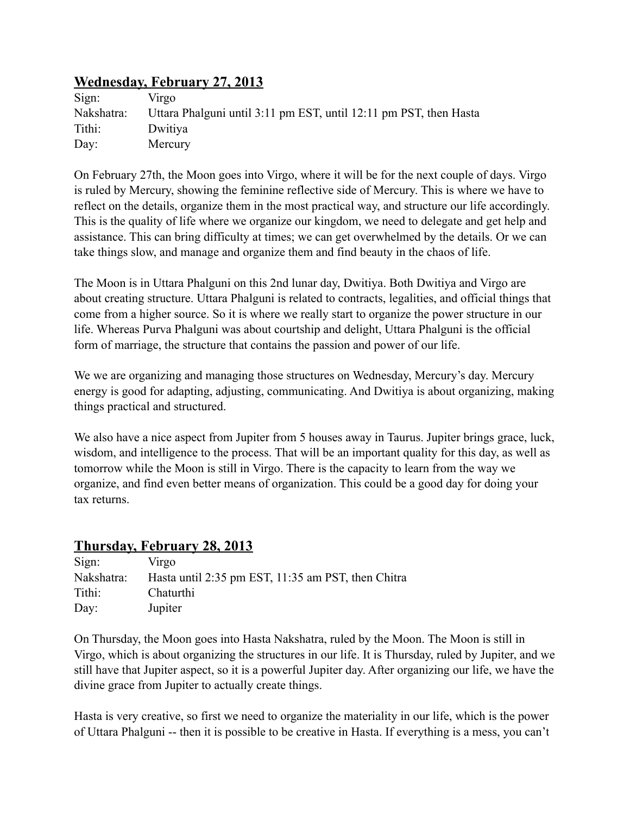## **Wednesday, February 27, 2013**

| Sign:      | Virgo                                                             |
|------------|-------------------------------------------------------------------|
| Nakshatra: | Uttara Phalguni until 3:11 pm EST, until 12:11 pm PST, then Hasta |
| Tithi:     | Dwitiya                                                           |
| Day:       | Mercury                                                           |

On February 27th, the Moon goes into Virgo, where it will be for the next couple of days. Virgo is ruled by Mercury, showing the feminine reflective side of Mercury. This is where we have to reflect on the details, organize them in the most practical way, and structure our life accordingly. This is the quality of life where we organize our kingdom, we need to delegate and get help and assistance. This can bring difficulty at times; we can get overwhelmed by the details. Or we can take things slow, and manage and organize them and find beauty in the chaos of life.

The Moon is in Uttara Phalguni on this 2nd lunar day, Dwitiya. Both Dwitiya and Virgo are about creating structure. Uttara Phalguni is related to contracts, legalities, and official things that come from a higher source. So it is where we really start to organize the power structure in our life. Whereas Purva Phalguni was about courtship and delight, Uttara Phalguni is the official form of marriage, the structure that contains the passion and power of our life.

We we are organizing and managing those structures on Wednesday, Mercury's day. Mercury energy is good for adapting, adjusting, communicating. And Dwitiya is about organizing, making things practical and structured.

We also have a nice aspect from Jupiter from 5 houses away in Taurus. Jupiter brings grace, luck, wisdom, and intelligence to the process. That will be an important quality for this day, as well as tomorrow while the Moon is still in Virgo. There is the capacity to learn from the way we organize, and find even better means of organization. This could be a good day for doing your tax returns.

## **Thursday, February 28, 2013**

| Sign:      | Virgo                                              |
|------------|----------------------------------------------------|
| Nakshatra: | Hasta until 2:35 pm EST, 11:35 am PST, then Chitra |
| Tithi:     | Chaturthi                                          |
| Day:       | Jupiter                                            |

On Thursday, the Moon goes into Hasta Nakshatra, ruled by the Moon. The Moon is still in Virgo, which is about organizing the structures in our life. It is Thursday, ruled by Jupiter, and we still have that Jupiter aspect, so it is a powerful Jupiter day. After organizing our life, we have the divine grace from Jupiter to actually create things.

Hasta is very creative, so first we need to organize the materiality in our life, which is the power of Uttara Phalguni -- then it is possible to be creative in Hasta. If everything is a mess, you can't